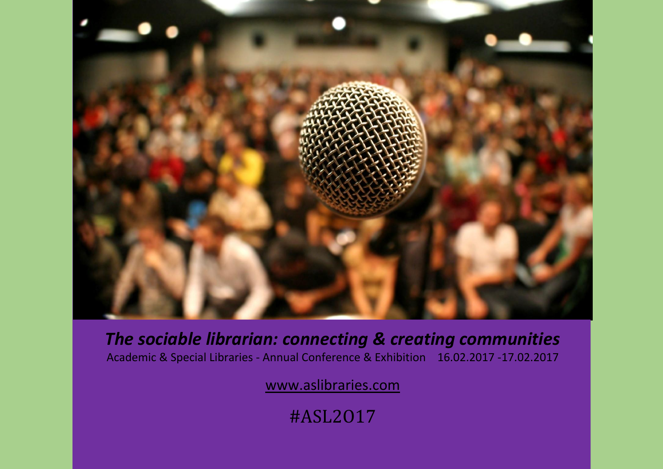

*The sociable librarian: connecting & creating communities* Academic & Special Libraries - Annual Conference & Exhibition 16.02.2017 -17.02.2017

[www.aslibraries.com](http://www.aslibraries.com/)

#ASL2O17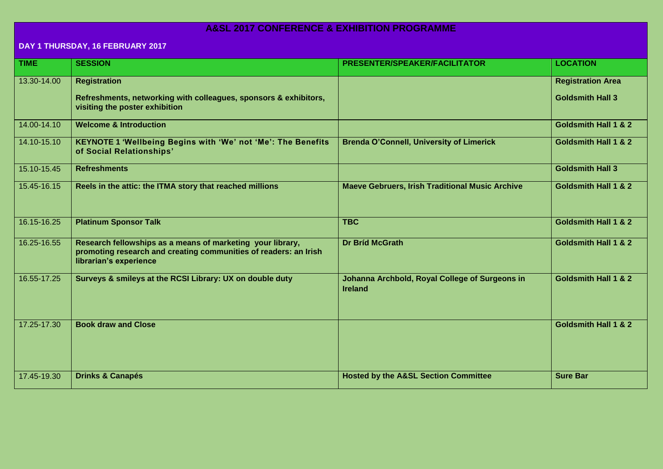## **A&SL 2017 CONFERENCE & EXHIBITION PROGRAMME**

## **DAY 1 THURSDAY, 16 FEBRUARY 2017**

| <b>TIME</b> | <b>SESSION</b>                                                                                                                                           | PRESENTER/SPEAKER/FACILITATOR                                    | <b>LOCATION</b>                                     |
|-------------|----------------------------------------------------------------------------------------------------------------------------------------------------------|------------------------------------------------------------------|-----------------------------------------------------|
| 13.30-14.00 | <b>Registration</b><br>Refreshments, networking with colleagues, sponsors & exhibitors,<br>visiting the poster exhibition                                |                                                                  | <b>Registration Area</b><br><b>Goldsmith Hall 3</b> |
| 14.00-14.10 | <b>Welcome &amp; Introduction</b>                                                                                                                        |                                                                  | <b>Goldsmith Hall 1 &amp; 2</b>                     |
| 14.10-15.10 | <b>KEYNOTE 1 'Wellbeing Begins with 'We' not 'Me': The Benefits</b><br>of Social Relationships'                                                          | <b>Brenda O'Connell, University of Limerick</b>                  | <b>Goldsmith Hall 1 &amp; 2</b>                     |
| 15.10-15.45 | <b>Refreshments</b>                                                                                                                                      |                                                                  | <b>Goldsmith Hall 3</b>                             |
| 15.45-16.15 | Reels in the attic: the ITMA story that reached millions                                                                                                 | <b>Maeve Gebruers, Irish Traditional Music Archive</b>           | <b>Goldsmith Hall 1 &amp; 2</b>                     |
| 16.15-16.25 | <b>Platinum Sponsor Talk</b>                                                                                                                             | <b>TBC</b>                                                       | <b>Goldsmith Hall 1 &amp; 2</b>                     |
| 16.25-16.55 | Research fellowships as a means of marketing your library,<br>promoting research and creating communities of readers: an Irish<br>librarian's experience | <b>Dr Bríd McGrath</b>                                           | Goldsmith Hall 1 & 2                                |
| 16.55-17.25 | Surveys & smileys at the RCSI Library: UX on double duty                                                                                                 | Johanna Archbold, Royal College of Surgeons in<br><b>Ireland</b> | <b>Goldsmith Hall 1 &amp; 2</b>                     |
| 17.25-17.30 | <b>Book draw and Close</b>                                                                                                                               |                                                                  | <b>Goldsmith Hall 1 &amp; 2</b>                     |
| 17.45-19.30 | <b>Drinks &amp; Canapés</b>                                                                                                                              | <b>Hosted by the A&amp;SL Section Committee</b>                  | <b>Sure Bar</b>                                     |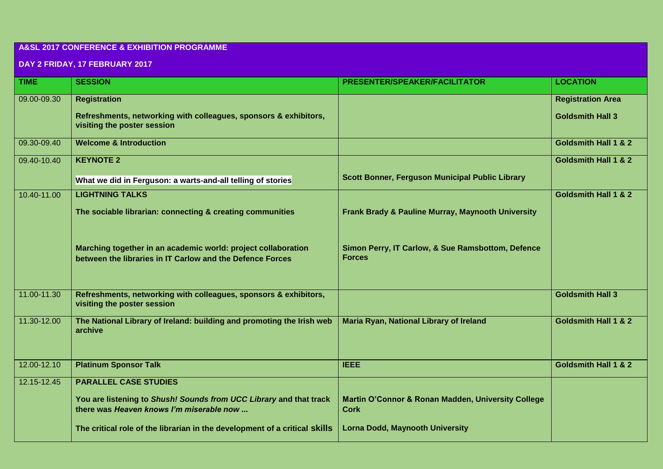## **A&SL 2017 CONFERENCE & EXHIBITION PROGRAMME**

## **DAY 2 FRIDAY, 17 FEBRUARY 2017**

| <b>TIME</b> | <b>SESSION</b>                                                                                                             | PRESENTER/SPEAKER/FACILITATOR                                      | <b>LOCATION</b>                 |
|-------------|----------------------------------------------------------------------------------------------------------------------------|--------------------------------------------------------------------|---------------------------------|
| 09.00-09.30 | <b>Registration</b>                                                                                                        |                                                                    | <b>Registration Area</b>        |
|             | Refreshments, networking with colleagues, sponsors & exhibitors,<br>visiting the poster session                            |                                                                    | <b>Goldsmith Hall 3</b>         |
| 09.30-09.40 | <b>Welcome &amp; Introduction</b>                                                                                          |                                                                    | <b>Goldsmith Hall 1 &amp; 2</b> |
| 09.40-10.40 | <b>KEYNOTE 2</b>                                                                                                           |                                                                    | <b>Goldsmith Hall 1 &amp; 2</b> |
|             | What we did in Ferguson: a warts-and-all telling of stories                                                                | <b>Scott Bonner, Ferguson Municipal Public Library</b>             |                                 |
| 10.40-11.00 | <b>LIGHTNING TALKS</b>                                                                                                     |                                                                    | <b>Goldsmith Hall 1 &amp; 2</b> |
|             | The sociable librarian: connecting & creating communities                                                                  | Frank Brady & Pauline Murray, Maynooth University                  |                                 |
|             | Marching together in an academic world: project collaboration<br>between the libraries in IT Carlow and the Defence Forces | Simon Perry, IT Carlow, & Sue Ramsbottom, Defence<br><b>Forces</b> |                                 |
| 11.00-11.30 | Refreshments, networking with colleagues, sponsors & exhibitors,<br>visiting the poster session                            |                                                                    | <b>Goldsmith Hall 3</b>         |
| 11.30-12.00 | The National Library of Ireland: building and promoting the Irish web<br>archive                                           | Maria Ryan, National Library of Ireland                            | <b>Goldsmith Hall 1 &amp; 2</b> |
| 12.00-12.10 | <b>Platinum Sponsor Talk</b>                                                                                               | <b>IEEE</b>                                                        | <b>Goldsmith Hall 1 &amp; 2</b> |
| 12.15-12.45 | <b>PARALLEL CASE STUDIES</b>                                                                                               |                                                                    |                                 |
|             | You are listening to Shush! Sounds from UCC Library and that track<br>there was Heaven knows I'm miserable now             | Martin O'Connor & Ronan Madden, University College<br><b>Cork</b>  |                                 |
|             | The critical role of the librarian in the development of a critical skills                                                 | <b>Lorna Dodd, Maynooth University</b>                             |                                 |